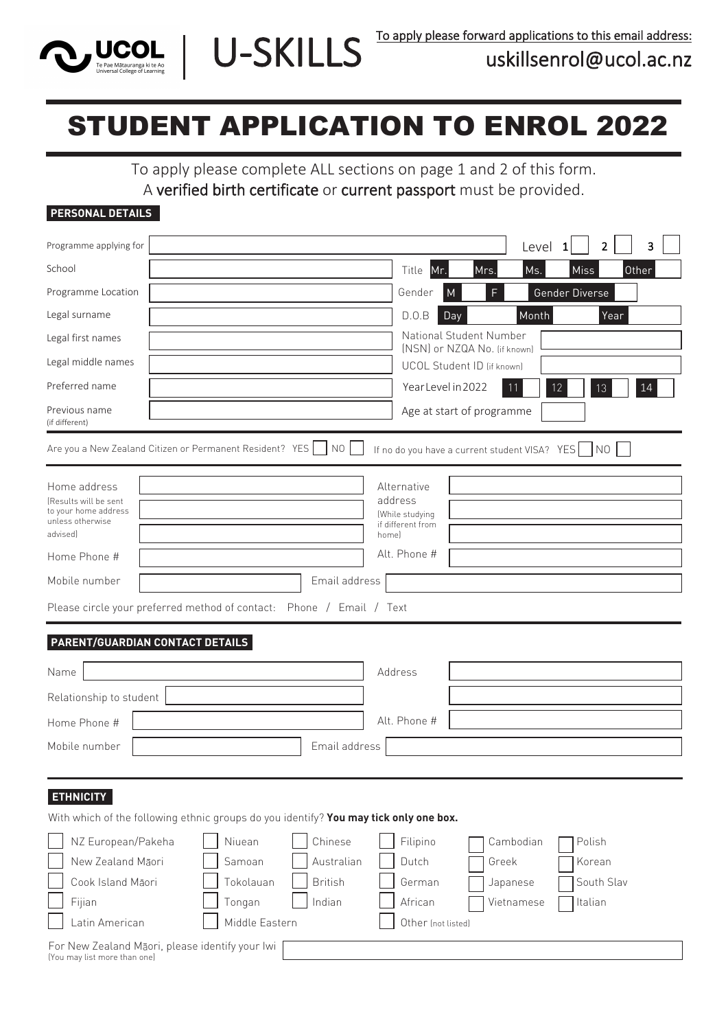

# STUDENT APPLICATION TO ENROL 2022

U-SKILLS

To apply please complete ALL sections on page 1 and 2 of this form. A verified birth certificate or current passport must be provided.

#### **PERSONAL DETAILS**

| Programme Applying For                                                                                       |                                                                                                                                                    |                                                   |                                                                         |                                              | Programme level<br>2                      | 3  |
|--------------------------------------------------------------------------------------------------------------|----------------------------------------------------------------------------------------------------------------------------------------------------|---------------------------------------------------|-------------------------------------------------------------------------|----------------------------------------------|-------------------------------------------|----|
| h<br>O                                                                                                       |                                                                                                                                                    |                                                   | Title<br>Mr.                                                            | Ms.<br>Mrs.                                  | Miss<br>Other                             |    |
| Ö<br>0                                                                                                       |                                                                                                                                                    |                                                   | Gender<br>M                                                             | F                                            | Gender Diverse                            |    |
| Legal Surname                                                                                                |                                                                                                                                                    |                                                   | D.0.B<br>Day                                                            | Month                                        | Year                                      |    |
| Legal First Names                                                                                            |                                                                                                                                                    |                                                   |                                                                         | National Student Number                      |                                           |    |
| Legal Middle Names                                                                                           |                                                                                                                                                    |                                                   | UCOL Student ID (if known)                                              | [NSN] or NZQA No. (if known)                 |                                           |    |
| <b>Preferred Name</b>                                                                                        |                                                                                                                                                    |                                                   | Year Level in 2022                                                      |                                              | 12<br>13                                  | 14 |
| Previous Name<br>(if different)                                                                              |                                                                                                                                                    |                                                   |                                                                         | Age at start of programme                    |                                           |    |
|                                                                                                              | Are you a New Zealand Citizen or Permanent Resident? YES                                                                                           | NO I                                              | If no do you have a current student VISA? YES   NO                      |                                              |                                           |    |
| Home address<br>(Results will be sent<br>to your home address<br>unless otherwise<br>advised                 |                                                                                                                                                    |                                                   | Alternative<br>address<br>(While studying<br>if different from<br>homel |                                              |                                           |    |
| Home Phone #                                                                                                 |                                                                                                                                                    |                                                   | Alt. Phone #                                                            |                                              |                                           |    |
| Mobile number                                                                                                |                                                                                                                                                    | Email address                                     |                                                                         |                                              |                                           |    |
|                                                                                                              | Please circle your preferred method of contact: Phone / Email / Text                                                                               |                                                   |                                                                         |                                              |                                           |    |
| PARENT/GUARDIAN CONTACT DETAILS                                                                              |                                                                                                                                                    |                                                   |                                                                         |                                              |                                           |    |
| Name                                                                                                         |                                                                                                                                                    |                                                   | Address                                                                 |                                              |                                           |    |
| Relationship to student                                                                                      |                                                                                                                                                    |                                                   |                                                                         |                                              |                                           |    |
|                                                                                                              |                                                                                                                                                    |                                                   | Alt. Phone #                                                            |                                              |                                           |    |
| Home Phone #                                                                                                 |                                                                                                                                                    |                                                   |                                                                         |                                              |                                           |    |
| Mobile number                                                                                                |                                                                                                                                                    | Email address                                     |                                                                         |                                              |                                           |    |
| <b>ETHNICITY</b><br>NZ European/Pakeha<br>New Zealand Māori<br>Cook Island Māori<br>Fijian<br>Latin American | With which of the following ethnic groups do you identify? You may tick only one box.<br>Niuean<br>Samoan<br>Tokolauan<br>Tongan<br>Middle Eastern | Chinese<br>Australian<br><b>British</b><br>Indian | Filipino<br>Dutch<br>German<br>African<br>Other (not listed)            | Cambodian<br>Greek<br>Japanese<br>Vietnamese | Polish<br>Korean<br>South Slav<br>Italian |    |
| For New Zealand Māori, please identify your lwi<br>(You may list more than one)                              |                                                                                                                                                    |                                                   |                                                                         |                                              |                                           |    |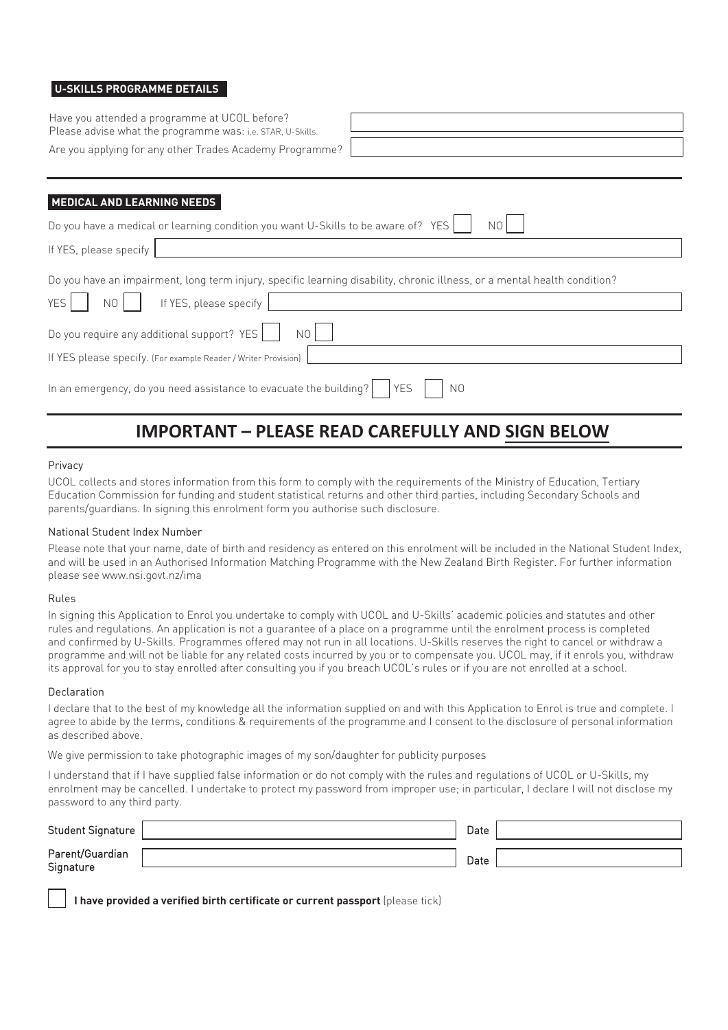#### **U-SKILLS PROGRAMME DETAILS**

Have you attended a programme at UCOL before? Please advise what the programme was: i.e. STAR, U-Skills.

Are you applying for any other Trades Academy Programme?

| and the control of the control of the control of the control of the control of the control of the control of th |
|-----------------------------------------------------------------------------------------------------------------|
|                                                                                                                 |
|                                                                                                                 |
|                                                                                                                 |

#### **MEDICAL AND LEARNING NEEDS**

| Do you have a medical or learning condition you want U-Skills to be aware of? YES                                         |  |  |
|---------------------------------------------------------------------------------------------------------------------------|--|--|
| If YES, please specify                                                                                                    |  |  |
| Do you have an impairment, long term injury, specific learning disability, chronic illness, or a mental health condition? |  |  |
| YES <sup> </sup><br>If YES, please specify<br>NO                                                                          |  |  |
| Do you require any additional support? YES<br>NO                                                                          |  |  |
| If YES please specify. (For example Reader / Writer Provision)                                                            |  |  |
| In an emergency, do you need assistance to evacuate the building? $\vert$ YES<br>N0                                       |  |  |

### **IMPORTANT – PLEASE READ CAREFULLY AND SIGN/DATE BELOW**

#### Privacy

UCOL collects and stores information from this form to comply with the requirements of the Ministry of Education, Tertiary Education Commission for funding and student statistical returns and other third parties, including Secondary Schools and parents/guardians. In signing this enrolment form you authorise such disclosure.

#### National Student Index Number

Please note that your name, date of birth and residency as entered on this enrolment will be included in the National Student Index, and will be used in an Authorised Information Matching Programme with the New Zealand Birth Register. For further information please see www.nsi.govt.nz/ima

#### Rules

In signing this Application to Enrol you undertake to comply with UCOL and U-Skills' academic policies and statutes and other rules and regulations. An application is not a guarantee of a place on a programme until the enrolment process is completed and confirmed by U-Skills. Programmes offered may not run in all locations. U-Skills reserves the right to cancel or withdraw a programme and will not be liable for any related costs incurred by you or to compensate you. UCOL may, if it enrols you, withdraw its approval for you to stay enrolled after consulting you if you breach UCOL's rules or if you are not enrolled at a school.

#### Declaration

I declare that to the best of my knowledge all the information supplied on and with this Application to Enrol is true and complete. I agree to abide by the terms, conditions & requirements of the programme and I consent to the disclosure of personal information as described above.

We give permission to take photographic images of my son/daughter for publicity purposes

I understand that if I have supplied false information or do not comply with the rules and regulations of UCOL or U-Skills, my enrolment may be cancelled. I undertake to protect my password from improper use; in particular, I declare I will not disclose my password to any third party.

| Student Signature            | Date |  |
|------------------------------|------|--|
| Parent/Guardian<br>Signature | Date |  |

**I have provided a verified birth certificate or current passport** (please tick)